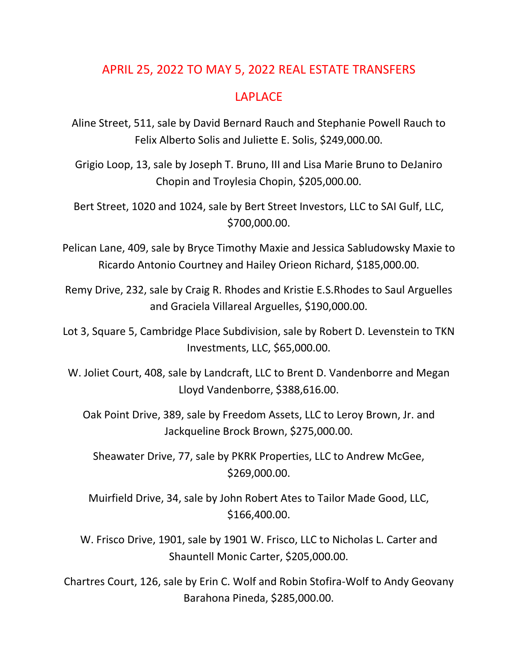## APRIL 25, 2022 TO MAY 5, 2022 REAL ESTATE TRANSFERS

## LAPLACE

Aline Street, 511, sale by David Bernard Rauch and Stephanie Powell Rauch to Felix Alberto Solis and Juliette E. Solis, \$249,000.00.

Grigio Loop, 13, sale by Joseph T. Bruno, III and Lisa Marie Bruno to DeJaniro Chopin and Troylesia Chopin, \$205,000.00.

Bert Street, 1020 and 1024, sale by Bert Street Investors, LLC to SAI Gulf, LLC, \$700,000.00.

Pelican Lane, 409, sale by Bryce Timothy Maxie and Jessica Sabludowsky Maxie to Ricardo Antonio Courtney and Hailey Orieon Richard, \$185,000.00.

Remy Drive, 232, sale by Craig R. Rhodes and Kristie E.S.Rhodes to Saul Arguelles and Graciela Villareal Arguelles, \$190,000.00.

Lot 3, Square 5, Cambridge Place Subdivision, sale by Robert D. Levenstein to TKN Investments, LLC, \$65,000.00.

W. Joliet Court, 408, sale by Landcraft, LLC to Brent D. Vandenborre and Megan Lloyd Vandenborre, \$388,616.00.

Oak Point Drive, 389, sale by Freedom Assets, LLC to Leroy Brown, Jr. and Jackqueline Brock Brown, \$275,000.00.

Sheawater Drive, 77, sale by PKRK Properties, LLC to Andrew McGee, \$269,000.00.

Muirfield Drive, 34, sale by John Robert Ates to Tailor Made Good, LLC, \$166,400.00.

W. Frisco Drive, 1901, sale by 1901 W. Frisco, LLC to Nicholas L. Carter and Shauntell Monic Carter, \$205,000.00.

Chartres Court, 126, sale by Erin C. Wolf and Robin Stofira-Wolf to Andy Geovany Barahona Pineda, \$285,000.00.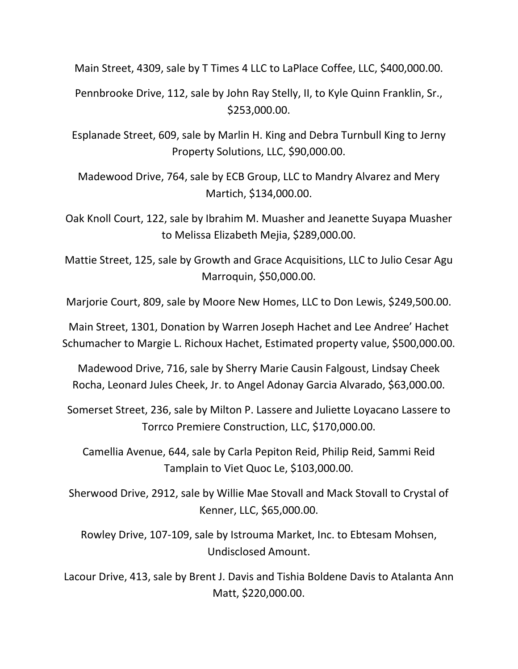Main Street, 4309, sale by T Times 4 LLC to LaPlace Coffee, LLC, \$400,000.00.

Pennbrooke Drive, 112, sale by John Ray Stelly, II, to Kyle Quinn Franklin, Sr., \$253,000.00.

Esplanade Street, 609, sale by Marlin H. King and Debra Turnbull King to Jerny Property Solutions, LLC, \$90,000.00.

Madewood Drive, 764, sale by ECB Group, LLC to Mandry Alvarez and Mery Martich, \$134,000.00.

Oak Knoll Court, 122, sale by Ibrahim M. Muasher and Jeanette Suyapa Muasher to Melissa Elizabeth Mejia, \$289,000.00.

Mattie Street, 125, sale by Growth and Grace Acquisitions, LLC to Julio Cesar Agu Marroquin, \$50,000.00.

Marjorie Court, 809, sale by Moore New Homes, LLC to Don Lewis, \$249,500.00.

Main Street, 1301, Donation by Warren Joseph Hachet and Lee Andree' Hachet Schumacher to Margie L. Richoux Hachet, Estimated property value, \$500,000.00.

Madewood Drive, 716, sale by Sherry Marie Causin Falgoust, Lindsay Cheek Rocha, Leonard Jules Cheek, Jr. to Angel Adonay Garcia Alvarado, \$63,000.00.

Somerset Street, 236, sale by Milton P. Lassere and Juliette Loyacano Lassere to Torrco Premiere Construction, LLC, \$170,000.00.

Camellia Avenue, 644, sale by Carla Pepiton Reid, Philip Reid, Sammi Reid Tamplain to Viet Quoc Le, \$103,000.00.

Sherwood Drive, 2912, sale by Willie Mae Stovall and Mack Stovall to Crystal of Kenner, LLC, \$65,000.00.

Rowley Drive, 107-109, sale by Istrouma Market, Inc. to Ebtesam Mohsen, Undisclosed Amount.

Lacour Drive, 413, sale by Brent J. Davis and Tishia Boldene Davis to Atalanta Ann Matt, \$220,000.00.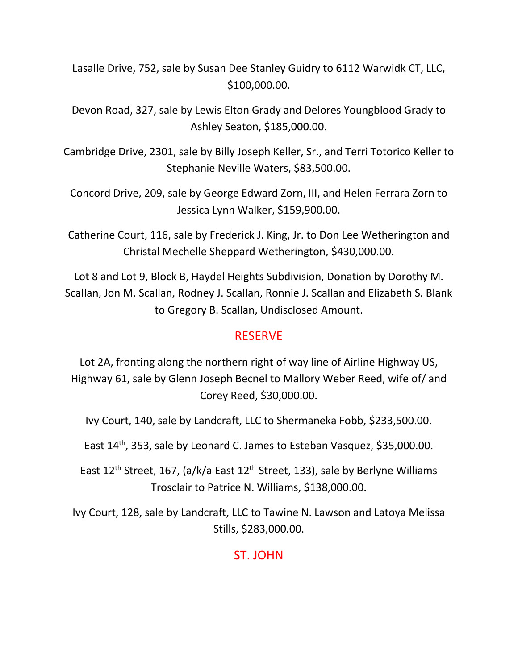Lasalle Drive, 752, sale by Susan Dee Stanley Guidry to 6112 Warwidk CT, LLC, \$100,000.00.

Devon Road, 327, sale by Lewis Elton Grady and Delores Youngblood Grady to Ashley Seaton, \$185,000.00.

Cambridge Drive, 2301, sale by Billy Joseph Keller, Sr., and Terri Totorico Keller to Stephanie Neville Waters, \$83,500.00.

Concord Drive, 209, sale by George Edward Zorn, III, and Helen Ferrara Zorn to Jessica Lynn Walker, \$159,900.00.

Catherine Court, 116, sale by Frederick J. King, Jr. to Don Lee Wetherington and Christal Mechelle Sheppard Wetherington, \$430,000.00.

Lot 8 and Lot 9, Block B, Haydel Heights Subdivision, Donation by Dorothy M. Scallan, Jon M. Scallan, Rodney J. Scallan, Ronnie J. Scallan and Elizabeth S. Blank to Gregory B. Scallan, Undisclosed Amount.

## RESERVE

Lot 2A, fronting along the northern right of way line of Airline Highway US, Highway 61, sale by Glenn Joseph Becnel to Mallory Weber Reed, wife of/ and Corey Reed, \$30,000.00.

Ivy Court, 140, sale by Landcraft, LLC to Shermaneka Fobb, \$233,500.00.

East 14th, 353, sale by Leonard C. James to Esteban Vasquez, \$35,000.00.

East 12<sup>th</sup> Street, 167, (a/k/a East 12<sup>th</sup> Street, 133), sale by Berlyne Williams Trosclair to Patrice N. Williams, \$138,000.00.

Ivy Court, 128, sale by Landcraft, LLC to Tawine N. Lawson and Latoya Melissa Stills, \$283,000.00.

## ST. JOHN